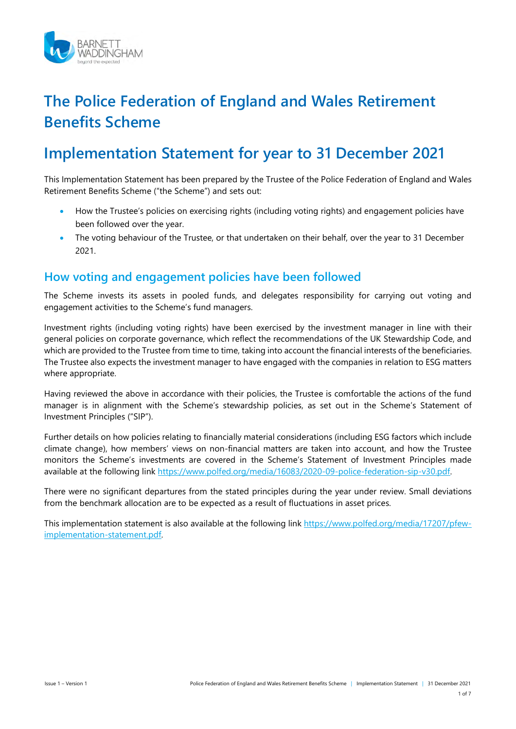

# **The Police Federation of England and Wales Retirement Benefits Scheme**

# **Implementation Statement for year to 31 December 2021**

This Implementation Statement has been prepared by the Trustee of the Police Federation of England and Wales Retirement Benefits Scheme ("the Scheme") and sets out:

- How the Trustee's policies on exercising rights (including voting rights) and engagement policies have been followed over the year.
- The voting behaviour of the Trustee, or that undertaken on their behalf, over the year to 31 December 2021.

# **How voting and engagement policies have been followed**

The Scheme invests its assets in pooled funds, and delegates responsibility for carrying out voting and engagement activities to the Scheme's fund managers.

Investment rights (including voting rights) have been exercised by the investment manager in line with their general policies on corporate governance, which reflect the recommendations of the UK Stewardship Code, and which are provided to the Trustee from time to time, taking into account the financial interests of the beneficiaries. The Trustee also expects the investment manager to have engaged with the companies in relation to ESG matters where appropriate.

Having reviewed the above in accordance with their policies, the Trustee is comfortable the actions of the fund manager is in alignment with the Scheme's stewardship policies, as set out in the Scheme's Statement of Investment Principles ("SIP").

Further details on how policies relating to financially material considerations (including ESG factors which include climate change), how members' views on non-financial matters are taken into account, and how the Trustee monitors the Scheme's investments are covered in the Scheme's Statement of Investment Principles made available at the following link [https://www.polfed.org/media/16083/2020-09-police-federation-sip-v30.pdf.](https://www.polfed.org/media/16083/2020-09-police-federation-sip-v30.pdf) 

There were no significant departures from the stated principles during the year under review. Small deviations from the benchmark allocation are to be expected as a result of fluctuations in asset prices.

This implementation statement is also available at the following link [https://www.polfed.org/media/17207/pfew](https://www.polfed.org/media/17207/pfew-implementation-statement.pdf)[implementation-statement.pdf.](https://www.polfed.org/media/17207/pfew-implementation-statement.pdf)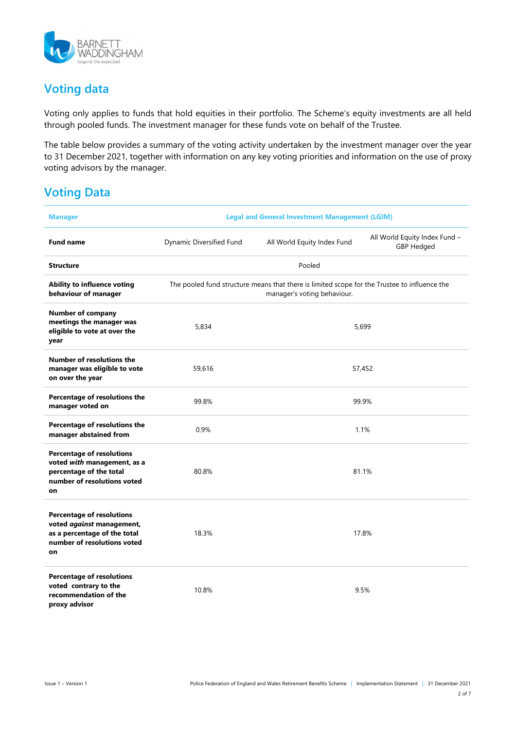

# **Voting data**

Voting only applies to funds that hold equities in their portfolio. The Scheme's equity investments are all held through pooled funds. The investment manager for these funds vote on behalf of the Trustee.

The table below provides a summary of the voting activity undertaken by the investment manager over the year to 31 December 2021, together with information on any key voting priorities and information on the use of proxy voting advisors by the manager.

# **Voting Data**

| <b>Manager</b>                                                                                                                     | <b>Legal and General Investment Management (LGIM)</b>                                                                       |                             |                                                    |
|------------------------------------------------------------------------------------------------------------------------------------|-----------------------------------------------------------------------------------------------------------------------------|-----------------------------|----------------------------------------------------|
| <b>Fund name</b>                                                                                                                   | Dynamic Diversified Fund                                                                                                    | All World Equity Index Fund | All World Equity Index Fund -<br><b>GBP Hedged</b> |
| <b>Structure</b>                                                                                                                   | Pooled                                                                                                                      |                             |                                                    |
| Ability to influence voting<br>behaviour of manager                                                                                | The pooled fund structure means that there is limited scope for the Trustee to influence the<br>manager's voting behaviour. |                             |                                                    |
| <b>Number of company</b><br>meetings the manager was<br>eligible to vote at over the<br>year                                       | 5,834                                                                                                                       | 5,699                       |                                                    |
| <b>Number of resolutions the</b><br>manager was eligible to vote<br>on over the year                                               | 59,616                                                                                                                      | 57,452                      |                                                    |
| Percentage of resolutions the<br>manager voted on                                                                                  | 99.8%                                                                                                                       | 99.9%                       |                                                    |
| Percentage of resolutions the<br>manager abstained from                                                                            | 0.9%                                                                                                                        | 1.1%                        |                                                    |
| <b>Percentage of resolutions</b><br>voted with management, as a<br>percentage of the total<br>number of resolutions voted<br>on    | 80.8%                                                                                                                       | 81.1%                       |                                                    |
| <b>Percentage of resolutions</b><br>voted against management,<br>as a percentage of the total<br>number of resolutions voted<br>on | 18.3%                                                                                                                       | 17.8%                       |                                                    |
| <b>Percentage of resolutions</b><br>voted contrary to the<br>recommendation of the<br>proxy advisor                                | 10.8%                                                                                                                       | 9.5%                        |                                                    |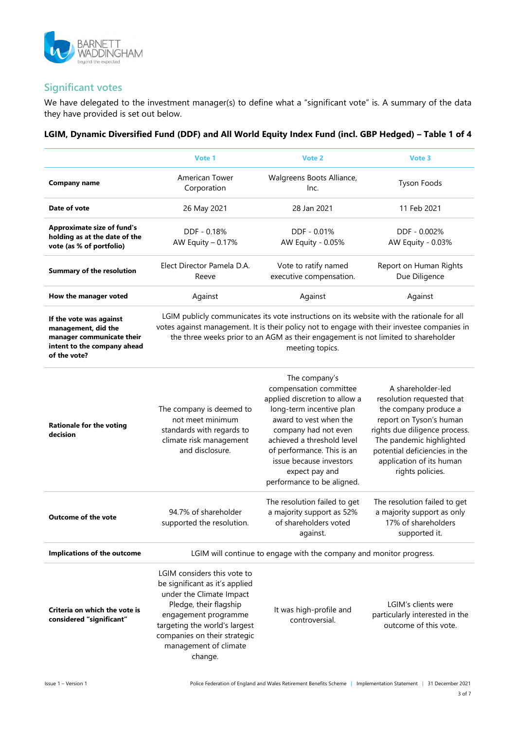

## **Significant votes**

We have delegated to the investment manager(s) to define what a "significant vote" is. A summary of the data they have provided is set out below.

#### **LGIM, Dynamic Diversified Fund (DDF) and All World Equity Index Fund (incl. GBP Hedged) – Table 1 of 4**

|                                                                                                                            | Vote 1                                                                                                                                                                                                                                                                                            | Vote 2                                                                                                                                                                                                                                                                                        | Vote 3                                                                                                                                                                                                                                           |
|----------------------------------------------------------------------------------------------------------------------------|---------------------------------------------------------------------------------------------------------------------------------------------------------------------------------------------------------------------------------------------------------------------------------------------------|-----------------------------------------------------------------------------------------------------------------------------------------------------------------------------------------------------------------------------------------------------------------------------------------------|--------------------------------------------------------------------------------------------------------------------------------------------------------------------------------------------------------------------------------------------------|
| <b>Company name</b>                                                                                                        | <b>American Tower</b><br>Corporation                                                                                                                                                                                                                                                              | Walgreens Boots Alliance,<br>Inc.                                                                                                                                                                                                                                                             | <b>Tyson Foods</b>                                                                                                                                                                                                                               |
| Date of vote                                                                                                               | 26 May 2021                                                                                                                                                                                                                                                                                       | 28 Jan 2021                                                                                                                                                                                                                                                                                   | 11 Feb 2021                                                                                                                                                                                                                                      |
| <b>Approximate size of fund's</b><br>holding as at the date of the<br>vote (as % of portfolio)                             | DDF - 0.18%<br>AW Equity - 0.17%                                                                                                                                                                                                                                                                  | DDF - 0.01%<br>AW Equity - 0.05%                                                                                                                                                                                                                                                              | DDF - 0.002%<br>AW Equity - 0.03%                                                                                                                                                                                                                |
| <b>Summary of the resolution</b>                                                                                           | Elect Director Pamela D.A.<br>Reeve                                                                                                                                                                                                                                                               | Vote to ratify named<br>executive compensation.                                                                                                                                                                                                                                               | Report on Human Rights<br>Due Diligence                                                                                                                                                                                                          |
| How the manager voted                                                                                                      | Against                                                                                                                                                                                                                                                                                           | Against                                                                                                                                                                                                                                                                                       | Against                                                                                                                                                                                                                                          |
| If the vote was against<br>management, did the<br>manager communicate their<br>intent to the company ahead<br>of the vote? | LGIM publicly communicates its vote instructions on its website with the rationale for all<br>votes against management. It is their policy not to engage with their investee companies in<br>the three weeks prior to an AGM as their engagement is not limited to shareholder<br>meeting topics. |                                                                                                                                                                                                                                                                                               |                                                                                                                                                                                                                                                  |
| <b>Rationale for the voting</b><br>decision                                                                                | The company is deemed to<br>not meet minimum<br>standards with regards to<br>climate risk management<br>and disclosure.                                                                                                                                                                           | The company's<br>compensation committee<br>applied discretion to allow a<br>long-term incentive plan<br>award to vest when the<br>company had not even<br>achieved a threshold level<br>of performance. This is an<br>issue because investors<br>expect pay and<br>performance to be aligned. | A shareholder-led<br>resolution requested that<br>the company produce a<br>report on Tyson's human<br>rights due diligence process.<br>The pandemic highlighted<br>potential deficiencies in the<br>application of its human<br>rights policies. |
| <b>Outcome of the vote</b>                                                                                                 | 94.7% of shareholder<br>supported the resolution.                                                                                                                                                                                                                                                 | The resolution failed to get<br>a majority support as 52%<br>of shareholders voted<br>against.                                                                                                                                                                                                | The resolution failed to get<br>a majority support as only<br>17% of shareholders<br>supported it.                                                                                                                                               |
| Implications of the outcome                                                                                                | LGIM will continue to engage with the company and monitor progress.                                                                                                                                                                                                                               |                                                                                                                                                                                                                                                                                               |                                                                                                                                                                                                                                                  |
| Criteria on which the vote is<br>considered "significant"                                                                  | LGIM considers this vote to<br>be significant as it's applied<br>under the Climate Impact<br>Pledge, their flagship<br>engagement programme<br>targeting the world's largest<br>companies on their strategic<br>management of climate<br>change.                                                  | It was high-profile and<br>controversial.                                                                                                                                                                                                                                                     | LGIM's clients were<br>particularly interested in the<br>outcome of this vote.                                                                                                                                                                   |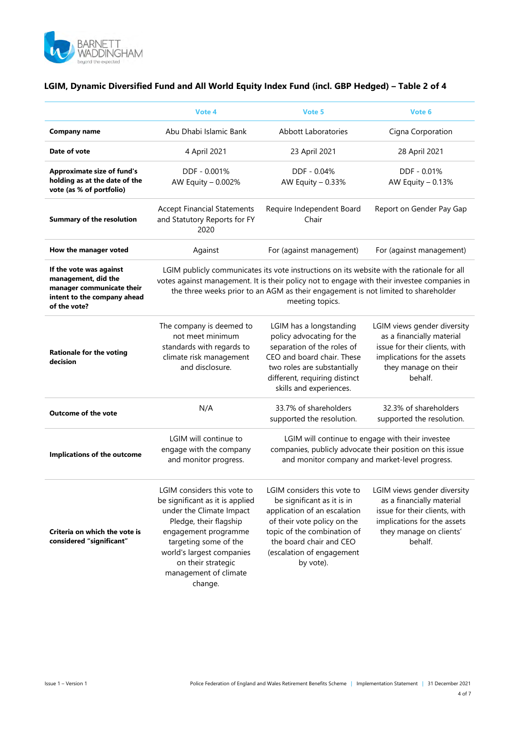

|                                                                                                                            | Vote 4                                                                                                                                                                                                                                                                                            | Vote 5                                                                                                                                                                                                                       | Vote 6                                                                                                                                                         |
|----------------------------------------------------------------------------------------------------------------------------|---------------------------------------------------------------------------------------------------------------------------------------------------------------------------------------------------------------------------------------------------------------------------------------------------|------------------------------------------------------------------------------------------------------------------------------------------------------------------------------------------------------------------------------|----------------------------------------------------------------------------------------------------------------------------------------------------------------|
| Company name                                                                                                               | Abu Dhabi Islamic Bank                                                                                                                                                                                                                                                                            | <b>Abbott Laboratories</b>                                                                                                                                                                                                   | Cigna Corporation                                                                                                                                              |
| Date of vote                                                                                                               | 4 April 2021                                                                                                                                                                                                                                                                                      | 23 April 2021                                                                                                                                                                                                                | 28 April 2021                                                                                                                                                  |
| <b>Approximate size of fund's</b><br>holding as at the date of the<br>vote (as % of portfolio)                             | DDF - 0.001%<br>AW Equity - 0.002%                                                                                                                                                                                                                                                                | DDF - 0.04%<br>AW Equity - 0.33%                                                                                                                                                                                             | DDF - 0.01%<br>AW Equity $-0.13%$                                                                                                                              |
| <b>Summary of the resolution</b>                                                                                           | <b>Accept Financial Statements</b><br>and Statutory Reports for FY<br>2020                                                                                                                                                                                                                        | Require Independent Board<br>Chair                                                                                                                                                                                           | Report on Gender Pay Gap                                                                                                                                       |
| How the manager voted                                                                                                      | Against                                                                                                                                                                                                                                                                                           | For (against management)                                                                                                                                                                                                     | For (against management)                                                                                                                                       |
| If the vote was against<br>management, did the<br>manager communicate their<br>intent to the company ahead<br>of the vote? | LGIM publicly communicates its vote instructions on its website with the rationale for all<br>votes against management. It is their policy not to engage with their investee companies in<br>the three weeks prior to an AGM as their engagement is not limited to shareholder<br>meeting topics. |                                                                                                                                                                                                                              |                                                                                                                                                                |
| <b>Rationale for the voting</b><br>decision                                                                                | The company is deemed to<br>not meet minimum<br>standards with regards to<br>climate risk management<br>and disclosure.                                                                                                                                                                           | LGIM has a longstanding<br>policy advocating for the<br>separation of the roles of<br>CEO and board chair. These<br>two roles are substantially<br>different, requiring distinct<br>skills and experiences.                  | LGIM views gender diversity<br>as a financially material<br>issue for their clients, with<br>implications for the assets<br>they manage on their<br>behalf.    |
| <b>Outcome of the vote</b>                                                                                                 | N/A                                                                                                                                                                                                                                                                                               | 33.7% of shareholders<br>supported the resolution.                                                                                                                                                                           | 32.3% of shareholders<br>supported the resolution.                                                                                                             |
| Implications of the outcome                                                                                                | LGIM will continue to<br>engage with the company<br>and monitor progress.                                                                                                                                                                                                                         | LGIM will continue to engage with their investee<br>companies, publicly advocate their position on this issue<br>and monitor company and market-level progress.                                                              |                                                                                                                                                                |
| Criteria on which the vote is<br>considered "significant"                                                                  | LGIM considers this vote to<br>be significant as it is applied<br>under the Climate Impact<br>Pledge, their flagship<br>engagement programme<br>targeting some of the<br>world's largest companies<br>on their strategic<br>management of climate<br>change.                                      | LGIM considers this vote to<br>be significant as it is in<br>application of an escalation<br>of their vote policy on the<br>topic of the combination of<br>the board chair and CEO<br>(escalation of engagement<br>by vote). | LGIM views gender diversity<br>as a financially material<br>issue for their clients, with<br>implications for the assets<br>they manage on clients'<br>behalf. |

## **LGIM, Dynamic Diversified Fund and All World Equity Index Fund (incl. GBP Hedged) – Table 2 of 4**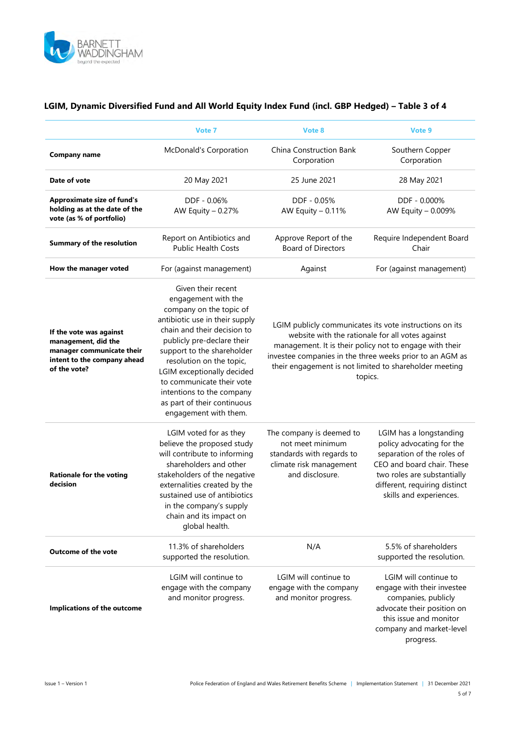

|                                                                                                                            | Vote 7                                                                                                                                                                                                                                                                                                                                                                        | Vote 8                                                                                                                                                                                                                                                                                                  | Vote 9                                                                                                                                                                                                      |
|----------------------------------------------------------------------------------------------------------------------------|-------------------------------------------------------------------------------------------------------------------------------------------------------------------------------------------------------------------------------------------------------------------------------------------------------------------------------------------------------------------------------|---------------------------------------------------------------------------------------------------------------------------------------------------------------------------------------------------------------------------------------------------------------------------------------------------------|-------------------------------------------------------------------------------------------------------------------------------------------------------------------------------------------------------------|
|                                                                                                                            |                                                                                                                                                                                                                                                                                                                                                                               |                                                                                                                                                                                                                                                                                                         |                                                                                                                                                                                                             |
| <b>Company name</b>                                                                                                        | <b>McDonald's Corporation</b>                                                                                                                                                                                                                                                                                                                                                 | China Construction Bank<br>Corporation                                                                                                                                                                                                                                                                  | Southern Copper<br>Corporation                                                                                                                                                                              |
| Date of vote                                                                                                               | 20 May 2021                                                                                                                                                                                                                                                                                                                                                                   | 25 June 2021                                                                                                                                                                                                                                                                                            | 28 May 2021                                                                                                                                                                                                 |
| <b>Approximate size of fund's</b><br>holding as at the date of the<br>vote (as % of portfolio)                             | DDF - 0.06%<br>AW Equity - 0.27%                                                                                                                                                                                                                                                                                                                                              | DDF - 0.05%<br>AW Equity - 0.11%                                                                                                                                                                                                                                                                        | DDF - 0.000%<br>AW Equity - 0.009%                                                                                                                                                                          |
| <b>Summary of the resolution</b>                                                                                           | Report on Antibiotics and<br><b>Public Health Costs</b>                                                                                                                                                                                                                                                                                                                       | Approve Report of the<br><b>Board of Directors</b>                                                                                                                                                                                                                                                      | Require Independent Board<br>Chair                                                                                                                                                                          |
| How the manager voted                                                                                                      | For (against management)                                                                                                                                                                                                                                                                                                                                                      | Against                                                                                                                                                                                                                                                                                                 | For (against management)                                                                                                                                                                                    |
| If the vote was against<br>management, did the<br>manager communicate their<br>intent to the company ahead<br>of the vote? | Given their recent<br>engagement with the<br>company on the topic of<br>antibiotic use in their supply<br>chain and their decision to<br>publicly pre-declare their<br>support to the shareholder<br>resolution on the topic,<br>LGIM exceptionally decided<br>to communicate their vote<br>intentions to the company<br>as part of their continuous<br>engagement with them. | LGIM publicly communicates its vote instructions on its<br>website with the rationale for all votes against<br>management. It is their policy not to engage with their<br>investee companies in the three weeks prior to an AGM as<br>their engagement is not limited to shareholder meeting<br>topics. |                                                                                                                                                                                                             |
| <b>Rationale for the voting</b><br>decision                                                                                | LGIM voted for as they<br>believe the proposed study<br>will contribute to informing<br>shareholders and other<br>stakeholders of the negative<br>externalities created by the<br>sustained use of antibiotics<br>in the company's supply<br>chain and its impact on<br>global health.                                                                                        | The company is deemed to<br>not meet minimum<br>standards with regards to<br>climate risk management<br>and disclosure.                                                                                                                                                                                 | LGIM has a longstanding<br>policy advocating for the<br>separation of the roles of<br>CEO and board chair. These<br>two roles are substantially<br>different, requiring distinct<br>skills and experiences. |
| <b>Outcome of the vote</b>                                                                                                 | 11.3% of shareholders<br>supported the resolution.                                                                                                                                                                                                                                                                                                                            | N/A                                                                                                                                                                                                                                                                                                     | 5.5% of shareholders<br>supported the resolution.                                                                                                                                                           |
| Implications of the outcome                                                                                                | LGIM will continue to<br>engage with the company<br>and monitor progress.                                                                                                                                                                                                                                                                                                     | LGIM will continue to<br>engage with the company<br>and monitor progress.                                                                                                                                                                                                                               | LGIM will continue to<br>engage with their investee<br>companies, publicly<br>advocate their position on<br>this issue and monitor<br>company and market-level<br>progress.                                 |

### **LGIM, Dynamic Diversified Fund and All World Equity Index Fund (incl. GBP Hedged) – Table 3 of 4**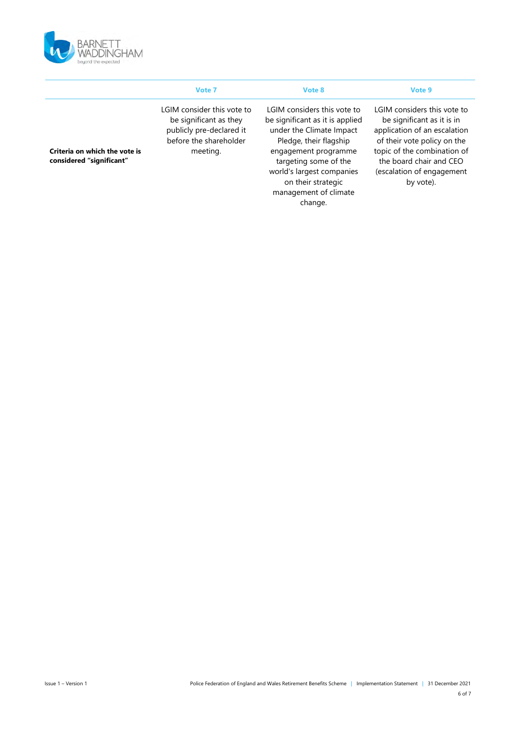

|                                                           | Vote 7                                                                                                                 | Vote 8                                                                                                                                                                                                                                                       | Vote 9                                                                                                                                                                                                                       |
|-----------------------------------------------------------|------------------------------------------------------------------------------------------------------------------------|--------------------------------------------------------------------------------------------------------------------------------------------------------------------------------------------------------------------------------------------------------------|------------------------------------------------------------------------------------------------------------------------------------------------------------------------------------------------------------------------------|
| Criteria on which the vote is<br>considered "significant" | LGIM consider this vote to<br>be significant as they<br>publicly pre-declared it<br>before the shareholder<br>meeting. | LGIM considers this vote to<br>be significant as it is applied<br>under the Climate Impact<br>Pledge, their flagship<br>engagement programme<br>targeting some of the<br>world's largest companies<br>on their strategic<br>management of climate<br>change. | LGIM considers this vote to<br>be significant as it is in<br>application of an escalation<br>of their vote policy on the<br>topic of the combination of<br>the board chair and CEO<br>(escalation of engagement<br>by vote). |